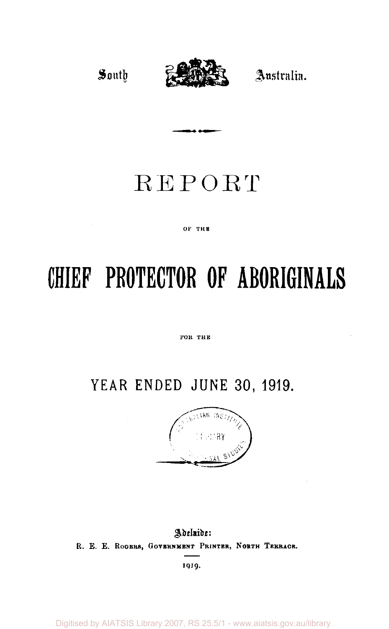

# REPORT

#### OF THE

# **CHIEF PROTECTOR OF ABORIGINALS**

FOR THE

# **YEAR ENDED JUNE 30, 1919.**



Adelaide: **R. E. E. ROGERS, GOVERNMENT PRINTER, NORTH TERRACE.** 

1919.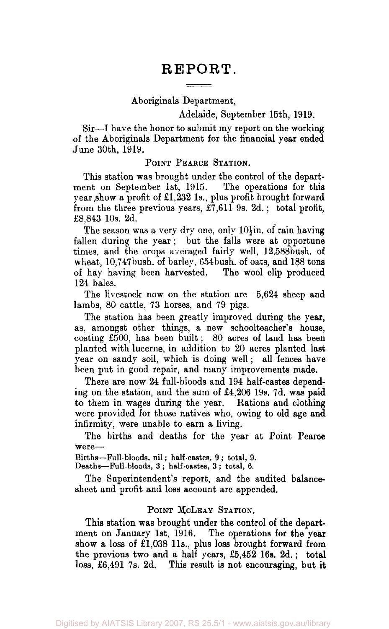# REPORT.

#### Aboriginals Department,

#### Adelaide, September 15th, 1919.

Sir—I have the honor to submit my report on the working of the Aboriginals Department for the financial year ended June 30th, 1919.

#### POINT PEARCE STATION.

This station was brought under the control of the department on September 1st, 1915. The operations for this year show a profit of £1,232 1s., plus profit brought forward from the three previous years, £7,611 9s. 2d.; total profit, £8,843 10s. 2d.

The season was a very dry one, only  $10\frac{1}{2}$ in. of rain having fallen during the year; but the falls were at opportune times, and the crops averaged fairly well, 12,588bush. of wheat, 10,747bush. of barley, 654bush. of oats, and 188 tons of hay having been harvested. 124 bales.

The livestock now on the station are—5,624 sheep and lambs, 80 cattle, 73 horses, and 79 pigs.

The station has been greatly improved during the year, as, amongst other things, a new schoolteacher's house, costing £500, has been built; 80 acres of land has been planted with lucerne, in addition to 20 acres planted last year on sandy soil, which is doing well; all fences have been put in good repair, and many improvements made.

There are now 24 full-bloods and 194 half-castes depending on the station, and the sum of £4,206 19s. 7d. was paid to them in wages during the year. Rations and clothing were provided for those natives who, owing to old age and infirmity, were unable to earn a living.

The births and deaths for the year at Point Pearce were—•

Births—Full bloods, nil; half-castes, 9 ; total, 9.

Deaths—Full-bloods, 3 ; half-castes, 3 ; total, 6.

The Superintendent's report, and the audited balancesheet and profit and loss account are appended.

#### POINT MCLEAY STATION.

This station was brought under the control of the department on January 1st, 1916. The operations for the year show a loss of £1,038 11s., plus loss brought forward from the previous two and a half years, £5,452 16s. 2d. ; total loss, £6,491 7s. 2d. This result is not encouraging, but it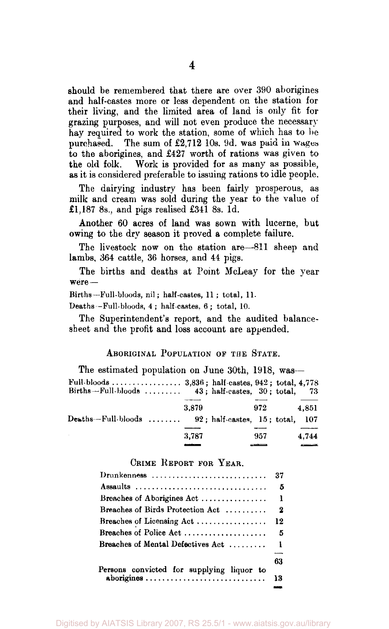should be remembered that there are over 390 aborigines and half-castes more or less dependent on the station for their living, and the limited area of land is only fit for grazing purposes, and will not even produce the necessary hay required to work the station, some of which has to be purchased. The sum of £2,712 10s. 9d. was paid in wages to the aborigines, and £427 worth of rations was given to the old folk. Work is provided for as many as possible, as it is considered preferable to issuing rations to idle people.

The dairying industry has been fairly prosperous, as milk and cream was sold during the year to the value of £1,187 8s., and pigs realised £341 8s. 1d.

Another 60 acres of land was sown with lucerne, but owing to the dry season it proved a complete failure.

The livestock now on the station are—811 sheep and lambs, 364 cattle, 36 horses, and 44 pigs.

The births and deaths at Point McLeay for the year were—

Births—Full-bloods, nil; half-castes, 11 ; total, 11.

Deaths—Full-bloods, 4 ; half-castes, 6 ; total, 10.

The Superintendent's report, and the audited balancesheet and the profit and loss account are appended.

#### ABORIGINAL POPULATION OF THE STATE.

| The estimated population on June 30th, 1918, was-    |       |        |       |
|------------------------------------------------------|-------|--------|-------|
| Births-Full-bloods $43$ ; half-castes, $30$ ; total, |       |        | -73   |
|                                                      | 3.879 | 972    | 4.851 |
| Deaths-Full-bloods $92$ ; half-castes, 15; total,    |       |        | 107   |
|                                                      | 3.787 | 957    | 4.744 |
|                                                      | ----- | ______ |       |

#### CRIME REPORT FOR YEAR.

|                                                         | 37               |
|---------------------------------------------------------|------------------|
| Assaults                                                | - 5              |
| Breaches of Aborigines Act                              | $\mathbf{1}$     |
| Breaches of Birds Protection Act                        | $\boldsymbol{2}$ |
| Breaches of Licensing Act                               | 12               |
| Breaches of Police Act                                  | -5               |
| Breaches of Mental Defectives Act                       | -1               |
|                                                         | 63               |
| Persons convicted for supplying liquor to<br>aborigines | 13               |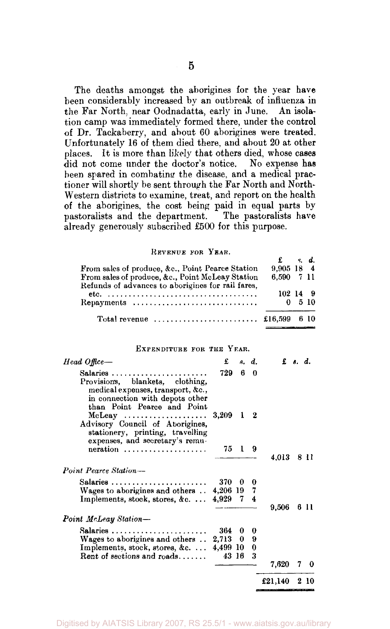The deaths amongst the aborigines for the year have been considerably increased by an outbreak of influenza in the Far North, near Oodnadatta, early in June. An isolation camp wa3 immediately formed there, under the control of Dr. Tackaberry, and about 60 aborigines were treated. Unfortunately 16 of them died there, and about 20 at other places. It is more than likely that others died, whose cases did not come under the doctor's notice. No expense has been spared in combating the disease, and a medical practioner will shortly be sent through the Far North and North-Western districts to examine, treat, and report on the health of the aborigines, the cost being paid in equal parts by pastoralists and the department. The pastoralists have already generously subscribed £500 for this purpose.

#### REVENUE FOR YEAR.

|                                                                                                       | – kat        |                    |  |
|-------------------------------------------------------------------------------------------------------|--------------|--------------------|--|
| From sales of produce, &c., Point Pearce Station                                                      | $9.905$ 18 4 |                    |  |
| From sales of produce, &c., Point McLeay Station<br>Refunds of advances to aborigines for rail fares. | 6.590 7 11   |                    |  |
|                                                                                                       | 102149       |                    |  |
| Repayments                                                                                            |              | $0\quad 5\quad 10$ |  |
| Total revenue $\ldots, \ldots, \ldots, \ldots, \ldots, \text{£16,599}$ 6 10                           |              |                    |  |

#### EXPENDITURE FOR THE YEAR.

| 370 | 0 | 0                    |                                                                                                                                    |       |                         |
|-----|---|----------------------|------------------------------------------------------------------------------------------------------------------------------------|-------|-------------------------|
|     |   |                      |                                                                                                                                    |       | 611                     |
|     |   |                      |                                                                                                                                    |       |                         |
|     |   |                      |                                                                                                                                    |       |                         |
|     |   |                      |                                                                                                                                    |       |                         |
|     |   |                      |                                                                                                                                    |       |                         |
|     |   |                      | 7,620                                                                                                                              | 7     | 0                       |
|     |   |                      | £21,140                                                                                                                            |       | 2 10                    |
|     |   | £<br>729<br>364<br>0 | s. d.<br>60<br>$3,209$ 1 2<br>75 1 9<br>4,206 19 7<br>4,929 7 4<br>0<br>$2.713 \quad 0$<br>9<br>4,499 10<br>$\bf{0}$<br>3<br>43 16 | 9,506 | $f$ s. d.<br>4.013 8 11 |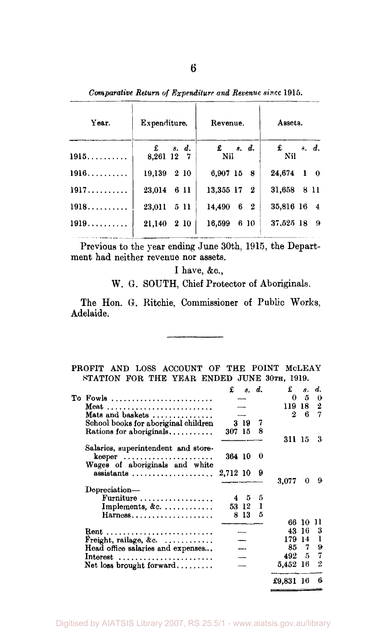*Comparative Return of Expenditure and Revenue since* 1915.

| Expenditure.                       | Revenue.                    | Assets.               |  |  |  |  |
|------------------------------------|-----------------------------|-----------------------|--|--|--|--|
| $\mathbf{f}$ $s. d.$<br>8,261 12 7 | $\mathbf{f}$ $s. d.$<br>Nil | $\pounds$ s.d.<br>Nil |  |  |  |  |
| 19.139<br>2 10                     | 6,907 15 8                  | 24.674 1 0            |  |  |  |  |
| 23,014 6 11                        | 13,355 17 2                 | 31,658 8 11           |  |  |  |  |
| 23,011<br>5 11                     | 6 2<br>14,490               | 35,816 16 4           |  |  |  |  |
| 2 10<br>21,140                     | 16,599<br>6 10              | $37.525$ 18 9         |  |  |  |  |
|                                    |                             |                       |  |  |  |  |

Previous to the year ending June 30th, 1915, the Department had neither revenue nor assets.

I have, &c,

W. *G.* SOUTH, Chief Protector of Aboriginals.

The Hon. 6. Ritchie, Commissioner of Public Works, Adelaide.

| PROFIT AND LOSS ACCOUNT OF THE POINT MCLEAY |  |                                             |  |  |  |
|---------------------------------------------|--|---------------------------------------------|--|--|--|
|                                             |  | STATION FOR THE YEAR ENDED JUNE 30TH, 1919. |  |  |  |

|                                                  | £        |                          | s, d. | £         | я.  | d. |
|--------------------------------------------------|----------|--------------------------|-------|-----------|-----|----|
| To Fowls                                         |          |                          |       | 0         | 5   | 0  |
| Meat                                             |          |                          |       | 119 18    |     | 2  |
| Mats and baskets                                 |          |                          |       |           | 26  | 7  |
| School books for aboriginal children             |          | 319                      | 7     |           |     |    |
| Rations for aboriginals                          | 307 15   |                          | 8     |           |     |    |
|                                                  |          |                          |       | 311-15    |     | 3  |
|                                                  |          |                          |       |           |     |    |
| Salaries, superintendent and store-<br>$k$ eeper | 364 10   |                          | 0     |           |     |    |
| Wages of aboriginals and white                   |          |                          |       |           |     |    |
|                                                  | 2,712 10 |                          | 9     |           |     |    |
|                                                  |          |                          |       | 3.077     | 0   | 9  |
| Depreciation-                                    |          |                          |       |           |     |    |
| Furniture                                        |          | $4\quad 5$               | 5     |           |     |    |
| Implements, &c.                                  |          | 53 12                    | ı     |           |     |    |
| Harness                                          | 8        | 13                       | 5     |           |     |    |
|                                                  |          |                          |       | 66.       | 10  |    |
|                                                  |          |                          |       | 43.       | -16 | 3  |
| Freight, railage, &c. $\ldots$                   |          |                          |       | 179.      | 14  | 1  |
| Head office salaries and expenses                |          |                          |       | 85        | 7   | 9  |
|                                                  |          |                          |       | 492 5     |     | 7  |
| Interest                                         |          | $\overline{\phantom{0}}$ |       |           |     |    |
| Net loss brought forward                         |          |                          |       | 5,452     | -16 | 2  |
|                                                  |          |                          |       | £9,831 16 |     | 6  |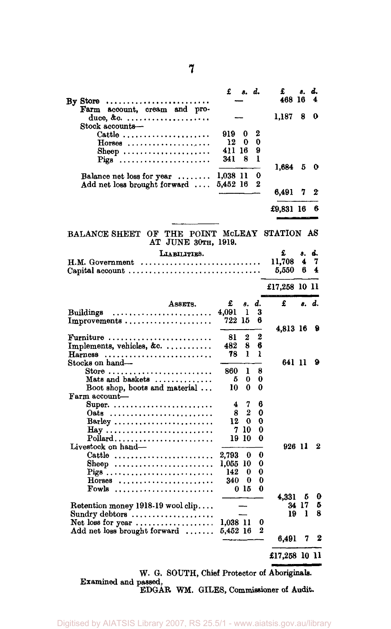|                                                                                                                | £        | s. d.           |                     | £<br>468 16   | 8,         | d.<br>4 |
|----------------------------------------------------------------------------------------------------------------|----------|-----------------|---------------------|---------------|------------|---------|
| By Store<br>account, cream and pro-<br>Farm                                                                    |          |                 |                     |               |            |         |
| Stock accounts—                                                                                                |          |                 |                     | 1,187         | 8          | 0       |
| Cattle                                                                                                         | 919 -    | 0               | 2                   |               |            |         |
| $Horses$                                                                                                       | 12       | 0               | 0                   |               |            |         |
| Sheep                                                                                                          | 411 16   |                 | 9                   |               |            |         |
| Pigs                                                                                                           | 341      | 8               | 1                   |               |            |         |
|                                                                                                                |          |                 |                     | 1,684         | 5          | 0       |
| Balance net loss for year $\dots\dots$                                                                         | 1,038 11 |                 | 0<br>$\overline{2}$ |               |            |         |
| Add net loss brought forward $\dots$                                                                           | 5,452 16 |                 |                     | 6,491         | 7          | 2       |
|                                                                                                                |          |                 |                     |               |            |         |
|                                                                                                                |          |                 |                     | £9,831 16     |            | 6       |
| BALANCE SHEET OF THE POINT MCLEAY STATION AS                                                                   |          |                 |                     |               |            |         |
| AT JUNE 30TH, 1919.                                                                                            |          |                 |                     |               |            |         |
| LIABILITIES.                                                                                                   |          |                 |                     | £             | 8.         | d.      |
| $H.M. Government \dots \dots \dots \dots \dots \dots \dots \dots \dots \dots$                                  |          |                 |                     | 11,708        | 4          | 7       |
|                                                                                                                |          |                 |                     | 5,550         | 6          | 4       |
|                                                                                                                |          |                 |                     | £17,258 10 11 |            |         |
| ASSETS.                                                                                                        | £        | 8.              | d.                  | £             | 8.         | d.      |
| Buildings                                                                                                      | 4.091    | ı               | 3                   |               |            |         |
| Improvements                                                                                                   | 722 15   |                 | 6                   |               |            |         |
|                                                                                                                |          |                 |                     | 4,813 16      |            | 9       |
| Furniture                                                                                                      | 81       | 2               | 2                   |               |            |         |
| Implements, vehicles, &c. $\dots\dots\dots$                                                                    | 482      | 8               | 6                   |               |            |         |
| Harness<br>Stocks on hand-                                                                                     | 78       | ı               | ł                   | 641 11        |            | 9       |
| Store $\ldots \ldots \ldots \ldots \ldots \ldots \ldots \ldots$                                                | 860      | ı               | 8                   |               |            |         |
| Mats and baskets                                                                                               | 5        | 0               | 0                   |               |            |         |
| Boot shop, boots and material                                                                                  | 10       | 0               | 0                   |               |            |         |
| Farm account-                                                                                                  |          |                 |                     |               |            |         |
| Super.                                                                                                         | 4        | 7               | 6                   |               |            |         |
| Oats                                                                                                           | 8        | 2               | 0                   |               |            |         |
| Barley                                                                                                         | 12       | 0               | 0                   |               |            |         |
|                                                                                                                | 7        | 10              | 0                   |               |            |         |
|                                                                                                                | 19.      | 10              | 0                   |               |            |         |
| Livestock on hand—                                                                                             |          |                 |                     | 926 11        |            | 2       |
| Cattle                                                                                                         | 2,793    | 0               | 0                   |               |            |         |
| Sheep                                                                                                          | 1.055 10 |                 | 0                   |               |            |         |
|                                                                                                                | 142      | 0               | 0                   |               |            |         |
| $Horses$                                                                                                       | 340      | 0               | 0                   |               |            |         |
| Fowls                                                                                                          |          | 0 <sub>15</sub> | 0                   |               |            |         |
|                                                                                                                |          |                 |                     | 4.331         | - 5        | 0<br>5  |
| Retention money 1918-19 wool clip                                                                              |          |                 |                     | 19            | 34 17<br>ı | 8       |
| Sundry debtors $\dots\dots\dots\dots\dots\dots\dots$<br>Net loss for year $\ldots \ldots \ldots \ldots \ldots$ | 1,038 11 |                 | 0                   |               |            |         |
| Add net loss brought forward                                                                                   | 5,452 16 |                 | 2                   |               |            |         |
|                                                                                                                |          |                 |                     | 6.491         | 7          | 2       |
|                                                                                                                |          |                 |                     | £17,258 10 11 |            |         |

W. G. SOUTH, Chief Protector of Aboriginals. Examined and passed, EDGAR WM. GILES, Commissioner of Audit.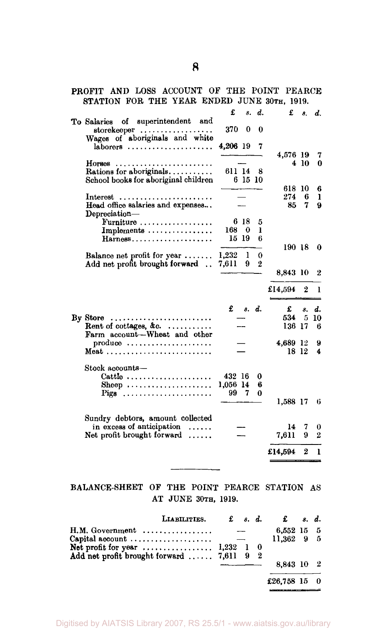## PROFIT AND LOSS ACCOUNT OF THE POINT PEARCE STATION FOR THE YEAR ENDED JUNE 30TH, 1919.

|                                                                                    | £        |               | s. d. | £        | 8.               | d.               |
|------------------------------------------------------------------------------------|----------|---------------|-------|----------|------------------|------------------|
| To Salaries of superintendent and<br>storekeeper<br>Wages of aboriginals and white | 370 -    | 0             | 0     |          |                  |                  |
| $laborers$                                                                         | 4,206 19 |               | 7     |          |                  |                  |
|                                                                                    |          |               |       | 4,576 19 | 410              | 7                |
| $HorreeB$<br>.<br>Rations for aboriginals                                          | 611 14   |               | 8     |          |                  | 0                |
| School books for aboriginal children                                               |          | 6 15 10       |       |          |                  |                  |
|                                                                                    |          |               |       | 618 10   |                  |                  |
|                                                                                    |          |               |       | 274      | 6                | 6<br>ı           |
| $Interest$<br>Head office salaries and expenses                                    |          |               |       | 85.      | 7                | 9                |
| $Depreciation-$                                                                    |          |               |       |          |                  |                  |
| Furniture                                                                          |          | 6 18          | 5     |          |                  |                  |
| Implements                                                                         | 168 0    |               | ı     |          |                  |                  |
| Harness                                                                            | 15–19    |               | 6     |          |                  |                  |
|                                                                                    |          |               |       | 190 18   |                  | 0                |
| Balance net profit for year                                                        | 1,232    | ı             | 0     |          |                  |                  |
| Add net profit brought forward                                                     | 7,611    | 9             | 2     |          |                  |                  |
|                                                                                    |          |               |       | 8.843 10 |                  | 2                |
|                                                                                    |          |               |       |          |                  |                  |
|                                                                                    |          |               |       | £14,594  | $\boldsymbol{2}$ | 1                |
|                                                                                    |          | $f$ $s$ $d$ . |       | £        | 8.               | d.               |
| By Store $\ldots$                                                                  |          |               |       | 534      | 5                | 10               |
| Rent of cottages, &c.<br>Farm account-Wheat and other                              |          |               |       | 136 17   |                  | 6                |
| $\mathbf{p}$ roduce                                                                |          |               |       | 4,689 12 |                  | 9                |
|                                                                                    |          |               |       |          | 18 12            | 4                |
|                                                                                    |          |               |       |          |                  |                  |
| Stock accounts—                                                                    | 432 16   |               | 0     |          |                  |                  |
| Cattle<br>Sheep                                                                    | 1,056 14 |               | 6     |          |                  |                  |
| Pigs                                                                               | 99       | 7             | 0     |          |                  |                  |
|                                                                                    |          |               |       | 1,588 17 |                  | 6                |
|                                                                                    |          |               |       |          |                  |                  |
| Sundry debtors, amount collected                                                   |          |               |       |          |                  |                  |
| in excess of anticipation                                                          |          |               |       | 14       | 7                | 0                |
| Net profit brought forward $\ldots$                                                |          |               |       | 7.611    | 9                | $\boldsymbol{2}$ |
|                                                                                    |          |               |       |          |                  |                  |
|                                                                                    |          |               |       | £14,594  | 2                | ı                |
|                                                                                    |          |               |       |          |                  |                  |

## BALANCE-SHEET OF THE POINT PEARCE STATION AS AT JUNE 30TH, 1919.

| LIABILITIES.                                                        |  |  |                                        | $\mathbf f$ s.d. $\mathbf f$ s.d. |  |
|---------------------------------------------------------------------|--|--|----------------------------------------|-----------------------------------|--|
| H.M. Government<br>Capital account $\dots\dots\dots\dots\dots\dots$ |  |  | 6,552 15 5<br>$11.362 \quad 9 \quad 5$ |                                   |  |
| Add net profit brought forward $7,611$ 9                            |  |  | - 2                                    |                                   |  |
|                                                                     |  |  | 8,843 10 2                             |                                   |  |
|                                                                     |  |  |                                        | £26,758 15 0                      |  |

**8**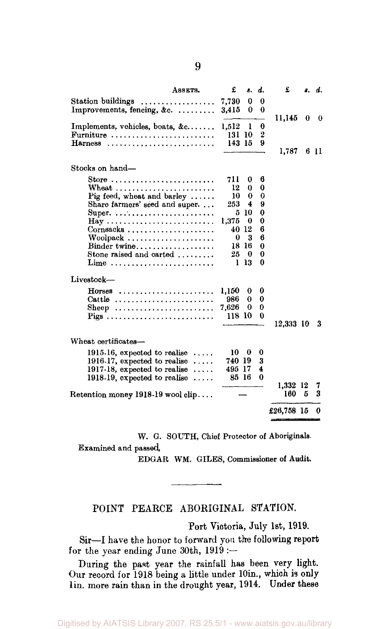|                                                                      | ASSETS.    | £               | 8.       | d.     | £               |   | s. d.  |
|----------------------------------------------------------------------|------------|-----------------|----------|--------|-----------------|---|--------|
| Station buildings<br>Improvements, fencing, &c.                      |            | 7,730<br>3.415  | 0<br>0   | 0<br>0 | 11,145          | 0 | 0      |
| Implements, vehicles, boats, $\&c$<br>Furniture                      |            | 1.512<br>131 10 | 1        | 0<br>2 |                 |   |        |
| Harness                                                              |            | 143 15          |          | 9      | 1,787           |   | 611    |
| Stocks on hand-                                                      |            |                 |          |        |                 |   |        |
| Store                                                                |            | 711             | 0        | 6      |                 |   |        |
| Wheat                                                                |            | 12              | 0        | 0      |                 |   |        |
| Pig feed, wheat and barley $\ldots$ .                                |            | 10              | 0        | 0      |                 |   |        |
| Share farmers' seed and super                                        |            | 253             | 4        | 9      |                 |   |        |
| Super                                                                |            |                 | 5 10     | 0      |                 |   |        |
| $\text{Hay} \ldots \ldots \ldots \ldots \ldots \ldots \ldots \ldots$ |            | 1,375<br>40 12  | 0        | 0<br>6 |                 |   |        |
| $Corn$ sacks                                                         |            | 0               | 3        | 6      |                 |   |        |
| Woolpack<br>Binder twine                                             |            |                 | 18 16    | 0      |                 |   |        |
| Stone raised and carted                                              |            | 25 -            | $\bf{0}$ | 0      |                 |   |        |
| Lime                                                                 |            |                 | $1\,13$  | 0      |                 |   |        |
| Livestock-                                                           |            |                 |          |        |                 |   |        |
| $H$ orses                                                            |            | 1,150           | 0        | 0      |                 |   |        |
| Cattle                                                               |            | 986             | 0        | 0      |                 |   |        |
| Sheep                                                                |            | 7.626           | 0        | 0      |                 |   |        |
| Pigs                                                                 |            | 118 10          |          | 0      | 12,333 10       |   | 3      |
|                                                                      |            |                 |          |        |                 |   |        |
| Wheat certificates-                                                  |            |                 |          |        |                 |   |        |
| $1915.16$ , expected to realise                                      |            | 10 -            | 0        | 0      |                 |   |        |
| 1916-17, expected to realise $\dots$                                 |            | 740 19          |          | 3      |                 |   |        |
| 1917-18, expected to realise                                         | $\ldots$ . | 495 17          |          | 4      |                 |   |        |
| $1918-19$ , expected to realise                                      |            | 85 16           |          | 0      |                 |   |        |
| Retention money $1918-19$ wool clip                                  |            |                 |          |        | 1,332 12<br>160 | 5 | 7<br>3 |
|                                                                      |            |                 |          |        | £26,758 l5      |   | 0      |
|                                                                      |            |                 |          |        |                 |   |        |

W. G. SOUTH, Chief Protector of Aboriginals. Examined and passed,

EDGAR WM. GILES, Commissioner of Audit.

### POINT PEARCE ABORIGINAL STATION.

Port Victoria, July 1st, 1919.

Sir—I have the honor to forward you the following report for the year ending June 30th,  $1919 :=$ 

During the past year the rainfall has been very light. Our record for  $1918$  being a little under 10in., which is only lin. more rain than in the drought year, 1914. Under these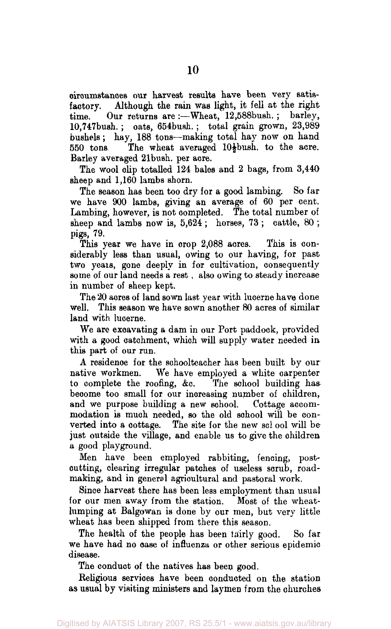circumstances our harvest results have been very satisfactory. Although the rain was light, it fell at the right time. Our returns are :- Wheat, 12,588bush.; barley, 10,747bush. ; oats, 654bush.; total grain grown, 23,989 bushels; hay, 188 tons—making total hay now on hand 550 tons. The wheat averaged  $10\frac{1}{2}$ bush. to the acre. Barley averaged 21bush. per acre.

The wool clip totalled 124 bales and 2 bags, from 3,440 sheep and  $1,160$  lambs shorn.

The season has been too dry for a good lambing. So far we have 900 lambs, giving an average of 60 per cent. Lambing, however, is not completed. The total number of sheep and lambs now is,  $5,624$ ; horses,  $73$ ; cattle,  $80$ ; pigs, 79.

This year we have in crop 2,088 acres. This is considerably less than usual, owing to our having, for past two years, gone deeply in for cultivation, consequently some of our land needs a rest, also owing to steady increase in number of sheep kept.

The 20 acres of land sown last year with lucerne have done well. This season we have sown another 80 acres of similar land with lucerne.

We are excavating a dam in our Port paddock, provided with a good catchment, which will supply water needed in this part of our run.

A residence for the schoolteacher has been built by our native workmen. We have employed a white carpenter to complete the roofing, &c. The school building has become too small for our increasing number of children, and we purpose building a new school. Cottage accommodation is much needed, so the old school will be converted into a cottage. The site for the new school will be just outside the village, and enable us to give the children a good playground.

Men have been employed rabbiting, fencing, postcutting, clearing irregular patches of useless scrub, roadmaking, and in general agricultural and pastoral work.

Since harvest there has been less employment than usual for our men away from the station. Most of the wheatlumping at Balgowan is done by our men, but very little wheat has been shipped from there this season.

The health of the people has been fairly good. So far we have had no case of influenza or other serious epidemic disease.

The conduct of the natives has been good.

Religious services have been conducted on the station as usual by visiting ministers and laymen from the churches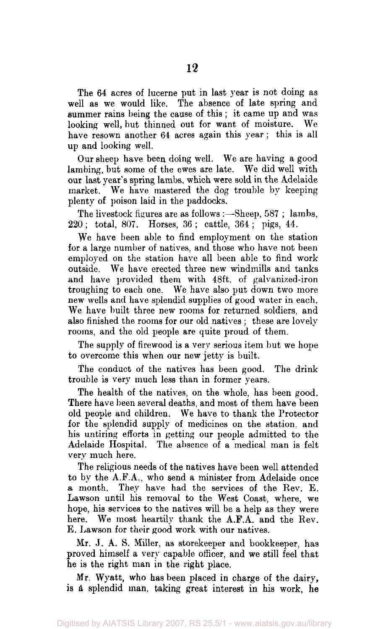The 64 acres of lucerne put in last year is not doing as well as we would like. The absence of late spring and summer rains being the cause of this ; it came up and was looking well, but thinned out for want of moisture. We have resown another 64 acres again this year ; this is all up and looking well.

Our sheep have been doing well. We are having a good lambing, but some of the ewes are late. We did well with our last year's spring lambs, which were sold in the Adelaide market. We have mastered the dog trouble by keeping plenty of poison laid in the paddocks.

The livestock figures are as follows :—Sheep, 587 ; lambs, 220; total, 807. Horses, 36 ; cattle, 364 ; pigs, 44.

We have been able to find employment on the station for a large number of natives, and those who have not been employed on the station have all been able to find work outside. We have erected three new windmills and tanks and have provided them with 48ft. of galvanized-iron troughing to each one. We have also put down two more new wells and have splendid supplies of good water in each. We have built three new rooms for returned soldiers, and also finished the rooms for our old natives ; these are lovely rooms, and the old people are quite proud of them.

The supply of firewood is a very serious item but we hope to overcome this when our new jetty is built.

The conduct of the natives has been good. The drink trouble is very much less than in former years.

The health of the natives, on the whole, has been good. There have been several deaths, and most of them have been old people and children. We have to thank the Protector for the splendid supply of medicines on the station, and his untiring efforts in getting our people admitted to the Adelaide Hospital. The absence of a medical man is felt very much here.

The religious needs of the natives have been well attended to by the A.FA., who send a minister from Adelaide once a month. They have had the services of the Rev. E. Lawson until his removal to the West Coast, where, we hope, his services to the natives will be a help as they were here. We most heartily thank the A.F.A. and the Rev. E. Lawson for their good work with our natives.

Mr. J. A. S. Miller, as storekeeper and bookkeeper, has proved himself a very capable officer, and we still feel that he is the right man in the right place.

Mr. Wyatt, who has been placed in charge of the dairy, is a splendid man, taking great interest in his work, he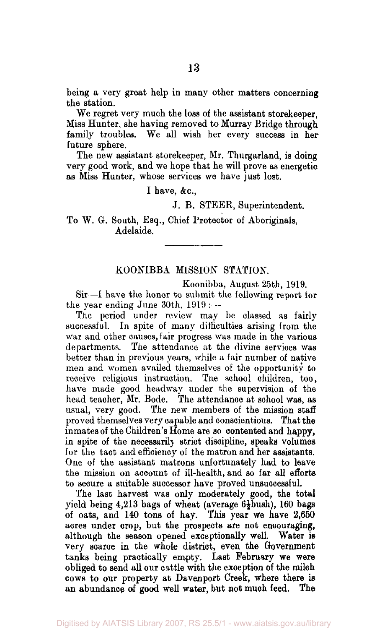being a very great help in many other matters concerning the station.

We regret very much the loss of the assistant storekeeper. Miss Hunter, she having removed to Murray Bridge through family troubles. We all wish her every success in her future sphere.

The new assistant storekeeper, Mr. Thurgarland, is doing very good work, and we hope that he will prove as energetic as Miss Hunter, whose services we have just lost.

I have, &c,

J. B. STEER, Superintendent.

To W. G. South, Esq., Chief Protector of Aboriginals, Adelaide.

#### KOONIBBA MISSION STATION.

Koonibba, August 25th, 1919.

Sir—I have the honor to submit the following report for the year ending June 30th, 1919 :—

The period under review may be classed as fairly successful. In spite of many difficulties arising from the war and other causes, fair progress was made in the various departments. The attendance at the divine services was better than in previous years, while a fair number of native men and women availed themselves of the opportunity to receive religious instruction. The school children, too, have made good headway under the supervision of the head teacher, Mr. Bode. The attendance at school was, as usual, very good. The new members of the mission staff proved themselves very capable and conscientious. That the inmates of the Children's Home are so contented and happy, in spite of the necessarily strict discipline, speaks volumes for the tact and efficiency of the matron and her assistants. One of the assistant matrons unfortunately had to leave the mission on account of ill-health, and so far all efforts to secure a suitable successor have proved unsuccessful.

The last harvest was only moderately good, the total yield being  $4,213$  bags of wheat (average  $6\frac{1}{2}$ bush), 160 bags of oats, and 140 tons of hay. This year we have 2,650 acres under crop, but the prospects are not encouraging, although the season opened exceptionally well. Water is very scarce in the whole district, even the Government tanks being practically empty. Last February we were obliged to send all our cattle with the exception of the milch cows to our property at Davenport Creek, where there is an abundance of good well water, but not much feed. The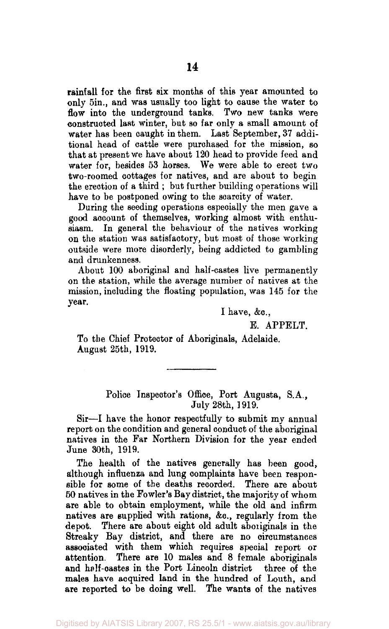rainfall for the first six months of this year amounted to only 5in., and was usually too light to cause the water to flow into the underground tanks. Two new tanks were constructed last winter, but so far only a small amount of water has been caught in them. Last September, 37 additional head of cattle were purchased for the mission, so that at present we have about 120 head to provide feed and water for, besides 53 horses. We were able to erect two two-roomed cottages for natives, and are about to begin the erection of a third ; but further building operations will have to be postponed owing to the scarcity of water.

During the seeding operations especially the men gave a good account of themselves, working almost with enthusiasm. In general the behaviour of the natives working on the station was satisfactory, but most of those working outside were more disorderly, being addicted to gambling and drunkenness.

About 100 aboriginal and half-castes live permanently on the station, while the average number of natives at the mission, including the floating population, was 145 for the year.

I have, &c.,

E. APPELT.

To the Chief Protector of Aboriginals, Adelaide. August 25th, 1919.

> Police Inspector's Office, Port Augusta, S.A., July 28th, 1919.

Sir—I have the honor respectfully to submit my annual report on the condition and general conduct of the aboriginal natives in the Far Northern Division for the year ended June 30th, 1919.

The health of the natives generally has been good, although influenza and lung complaints have been responsible for some of the deaths recorded. There are about 50 natives in the Fowler's Bay district, the majority of whom are able to obtain employment, while the old and infirm natives are supplied with rations, &c, regularly from the depot. There are about eight old adult aboriginals in the Streaky Bay district, and there are no circumstances associated with them which requires special report or attention. There are 10 males and 8 female aboriginals and half-castes in the Port Lincoln district three of the males have acquired land in the hundred of Louth, and are reported to be doing well. The wants of the natives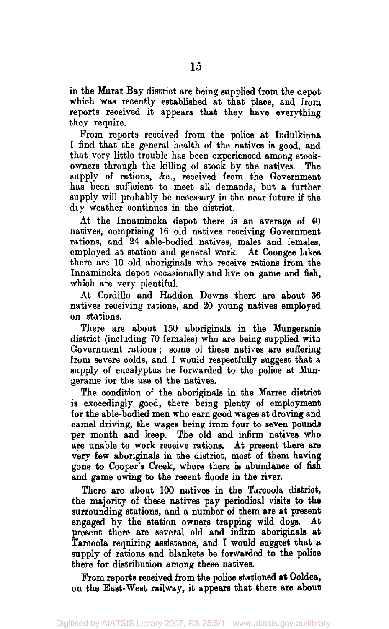in the Murat Bay district are being supplied from the depot which was recently established at that place, and from reports received it appears that they have everything they require.

From reports received from the police at Indulkinna I find that the general health of the natives is good, and that very little trouble has been experienced among stockowners through the killing of stock by the natives. The supply of rations, &c., received from the Government has been sufficient to meet all demands, but a further supply will probably be necessary in the near future if the dry weather continues in the district.

At the Innamincka depot there is an average of 40 natives, comprising 16 old natives receiving Government rations, and 24 able-bodied natives, males and females, employed at station and general work. At Coongee lakes there are 10 old aboriginals who receive rations from the Innamincka depot occasionally and live on game and fish, which are very plentiful.

At Cordillo and Haddon Downs there are about 36 natives receiving rations, and 20 young natives employed on stations.

There are about 150 aboriginals in the Mungeranie district (including 70 females) who are being supplied with Government rations; some of these natives are suffering from severe colds, and I would respectfully suggest that a supply of eucalyptus be forwarded to the police at Mungeranie for the use of the natives.

The condition of the aboriginals in the Marree district is exceedingly good, there being plenty of employment for the able-bodied men who earn good wages at droving and camel driving, the wages being from four to seven pounds per month and keep. The old and infirm natives who are unable to work receive rations. At present there are very few aboriginals in the district, most of them having gone to Cooper's Creek, where there is abundance of fish and game owing to the recent floods in the river.

There are about 100 natives in the Tarooola district, the majority of these natives pay periodical visits to the surrounding stations, and a number of them are at present engaged by the station owners trapping wild dogs. At present there are several old and infirm aboriginals at Tarooola requiring assistance, and I would suggest that a supply of rations and blankets be forwarded to the police there for distribution among these natives.

From reports received from the police stationed at Ooldea, on the East-West railway, it appears that there are about